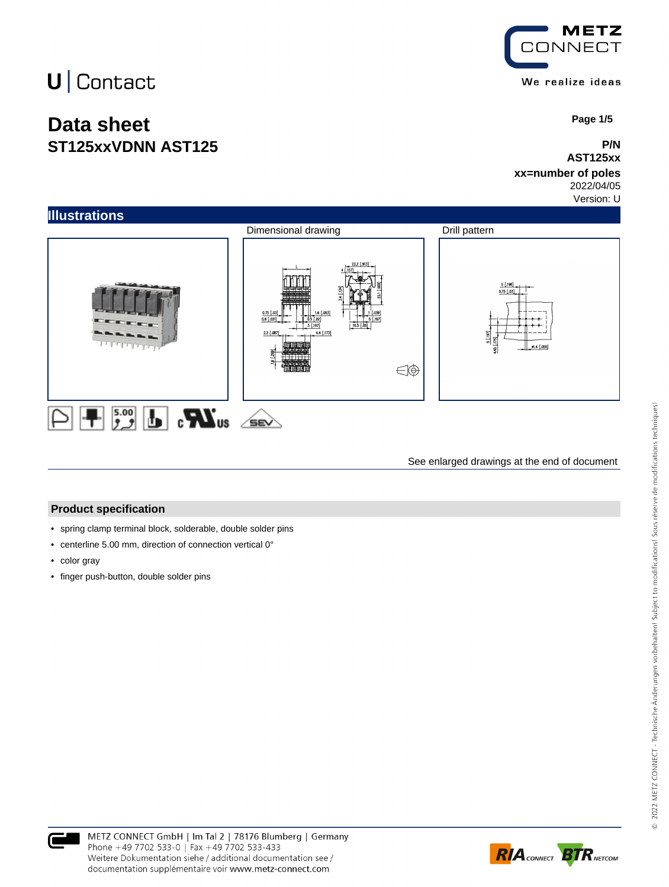## **Data sheet ST125xxVDNN AST125**



 **Page 1/5**

#### **P/N AST125xx**

### **xx=number of poles**

2022/04/05 Version: U



See enlarged drawings at the end of document

#### **Product specification**

- spring clamp terminal block, solderable, double solder pins
- centerline 5.00 mm, direction of connection vertical 0°
- color gray
- finger push-button, double solder pins



documentation supplémentaire voir www.metz-connect.com

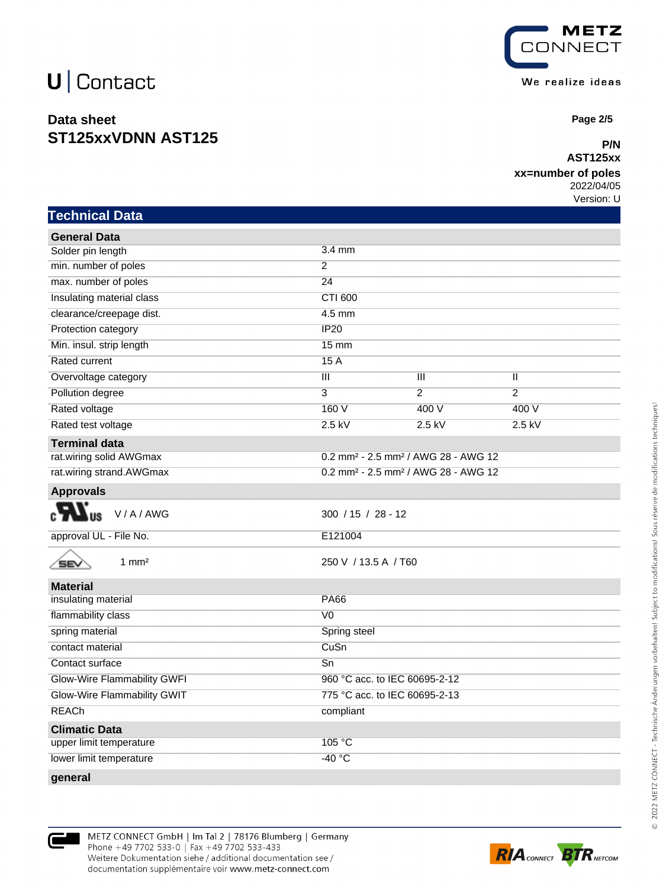### **Data sheet ST125xxVDNN AST125**



 **Page 2/5**

#### **P/N AST125xx**

#### **xx=number of poles**

2022/04/05 Version: U

| <b>Technical Data</b>       |                                                             |                |                |
|-----------------------------|-------------------------------------------------------------|----------------|----------------|
| <b>General Data</b>         |                                                             |                |                |
| Solder pin length           | 3.4 mm                                                      |                |                |
| min. number of poles        | $\overline{2}$                                              |                |                |
| max. number of poles        | $\overline{24}$                                             |                |                |
| Insulating material class   | <b>CTI 600</b>                                              |                |                |
| clearance/creepage dist.    | 4.5 mm                                                      |                |                |
| Protection category         | IP20                                                        |                |                |
| Min. insul. strip length    | $15 \text{ mm}$                                             |                |                |
| Rated current               | 15A                                                         |                |                |
| Overvoltage category        | $\overline{\mathsf{III}}$                                   | Ш              | Ш              |
| Pollution degree            | $\overline{3}$                                              | $\overline{2}$ | $\overline{2}$ |
| Rated voltage               | 160 V                                                       | 400 V          | 400 V          |
| Rated test voltage          | $2.5$ kV                                                    | $2.5$ kV       | $2.5$ kV       |
| <b>Terminal data</b>        |                                                             |                |                |
| rat.wiring solid AWGmax     | 0.2 mm <sup>2</sup> - 2.5 mm <sup>2</sup> / AWG 28 - AWG 12 |                |                |
| rat.wiring strand.AWGmax    | 0.2 mm <sup>2</sup> - 2.5 mm <sup>2</sup> / AWG 28 - AWG 12 |                |                |
| <b>Approvals</b>            |                                                             |                |                |
| V/A/AWG                     | $300 / 15 / 28 - 12$                                        |                |                |
| approval UL - File No.      | E121004                                                     |                |                |
| $1 \text{ mm}^2$<br>SEV     | 250 V / 13.5 A / T60                                        |                |                |
| <b>Material</b>             |                                                             |                |                |
| insulating material         | <b>PA66</b>                                                 |                |                |
| flammability class          | V <sub>0</sub>                                              |                |                |
| spring material             | Spring steel                                                |                |                |
| contact material            | CuSn                                                        |                |                |
| Contact surface             | Sn                                                          |                |                |
| Glow-Wire Flammability GWFI | 960 °C acc. to IEC 60695-2-12                               |                |                |
| Glow-Wire Flammability GWIT | 775 °C acc. to IEC 60695-2-13                               |                |                |
| <b>REACh</b>                | compliant                                                   |                |                |
| <b>Climatic Data</b>        |                                                             |                |                |
| upper limit temperature     | 105 °C                                                      |                |                |
| lower limit temperature     | $-40 °C$                                                    |                |                |



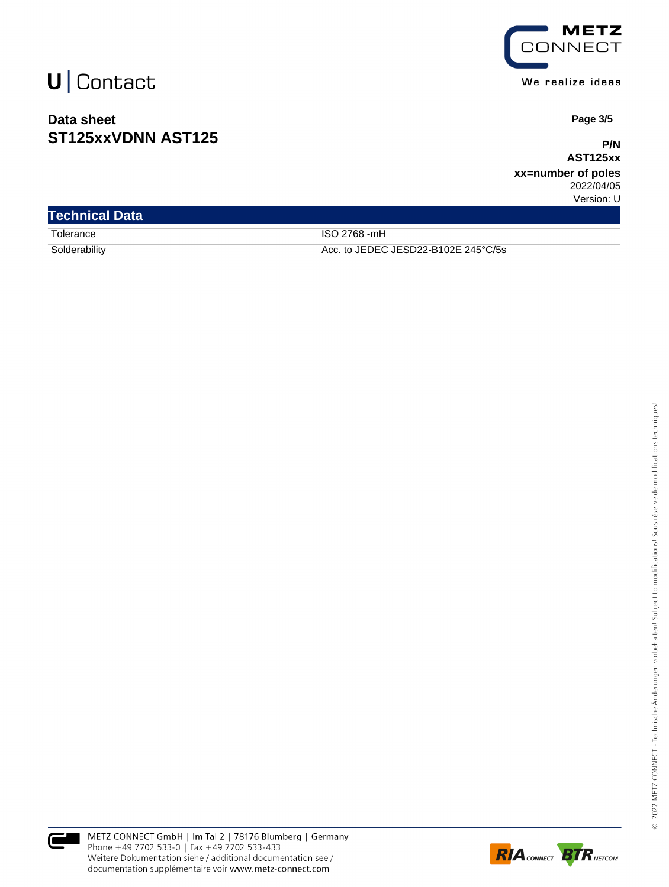### **Data sheet ST125xxVDNN AST125**



 **Page 3/5**

**P/N AST125xx**

**xx=number of poles** 2022/04/05 Version: U

| <b>Technical Data</b> |                                     |
|-----------------------|-------------------------------------|
| Tolerance             | ISO 2768 -mH                        |
| Solderability         | Acc. to JEDEC JESD22-B102E 245°C/5s |



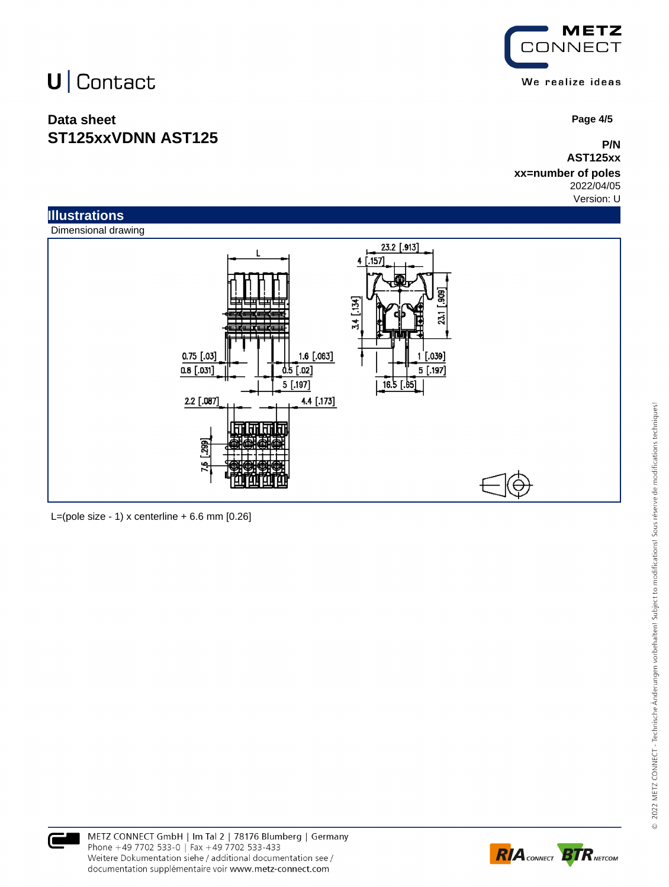# U | Contact

### **Data sheet ST125xxVDNN AST125**



 **Page 4/5**

**P/N AST125xx**

#### **xx=number of poles** 2022/04/05

Version: U



L=(pole size - 1) x centerline  $+ 6.6$  mm  $[0.26]$